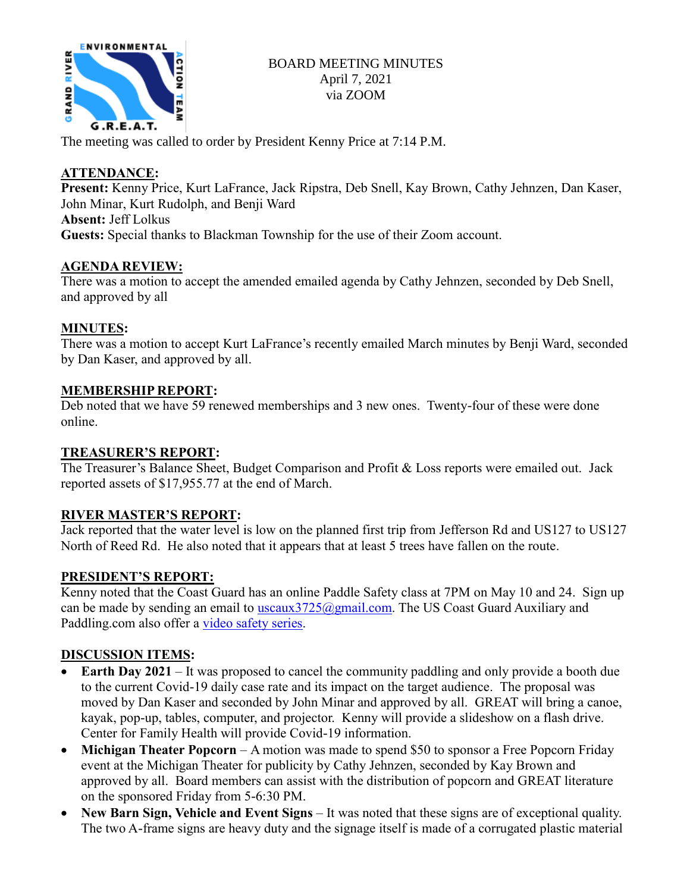

### BOARD MEETING MINUTES April 7, 2021 via ZOOM

The meeting was called to order by President Kenny Price at 7:14 P.M.

### **ATTENDANCE:**

**Present:** Kenny Price, Kurt LaFrance, Jack Ripstra, Deb Snell, Kay Brown, Cathy Jehnzen, Dan Kaser, John Minar, Kurt Rudolph, and Benji Ward **Absent:** Jeff Lolkus

**Guests:** Special thanks to Blackman Township for the use of their Zoom account.

### **AGENDA REVIEW:**

There was a motion to accept the amended emailed agenda by Cathy Jehnzen, seconded by Deb Snell, and approved by all

## **MINUTES:**

There was a motion to accept Kurt LaFrance's recently emailed March minutes by Benji Ward, seconded by Dan Kaser, and approved by all.

### **MEMBERSHIP REPORT:**

Deb noted that we have 59 renewed memberships and 3 new ones. Twenty-four of these were done online.

### **TREASURER'S REPORT:**

The Treasurer's Balance Sheet, Budget Comparison and Profit & Loss reports were emailed out. Jack reported assets of \$17,955.77 at the end of March.

### **RIVER MASTER'S REPORT:**

Jack reported that the water level is low on the planned first trip from Jefferson Rd and US127 to US127 North of Reed Rd. He also noted that it appears that at least 5 trees have fallen on the route.

### **PRESIDENT'S REPORT:**

Kenny noted that the Coast Guard has an online Paddle Safety class at 7PM on May 10 and 24. Sign up can be made by sending an email to uscaux  $3725$  (a) gmail.com. The US Coast Guard Auxiliary and Paddling.com also offer a [video safety series.](https://paddling.com/learn/paddle-safety)

# **DISCUSSION ITEMS:**

- **Earth Day 2021** It was proposed to cancel the community paddling and only provide a booth due to the current Covid-19 daily case rate and its impact on the target audience. The proposal was moved by Dan Kaser and seconded by John Minar and approved by all. GREAT will bring a canoe, kayak, pop-up, tables, computer, and projector. Kenny will provide a slideshow on a flash drive. Center for Family Health will provide Covid-19 information.
- **Michigan Theater Popcorn** A motion was made to spend \$50 to sponsor a Free Popcorn Friday event at the Michigan Theater for publicity by Cathy Jehnzen, seconded by Kay Brown and approved by all. Board members can assist with the distribution of popcorn and GREAT literature on the sponsored Friday from 5-6:30 PM.
- **New Barn Sign, Vehicle and Event Signs** It was noted that these signs are of exceptional quality. The two A-frame signs are heavy duty and the signage itself is made of a corrugated plastic material